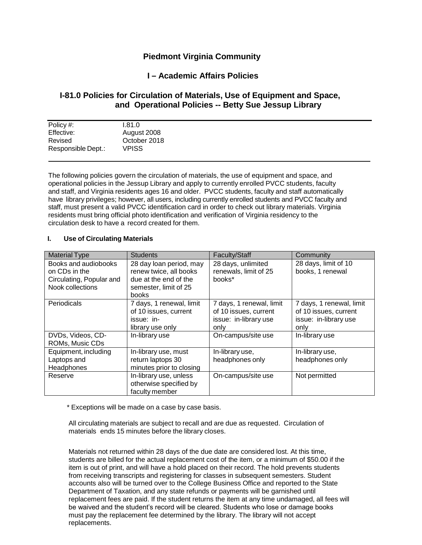# **Piedmont Virginia Community**

## **I – Academic Affairs Policies**

# **I-81.0 Policies for Circulation of Materials, Use of Equipment and Space, and Operational Policies -- Betty Sue Jessup Library**

| Policy #:          | 0.81.0       |
|--------------------|--------------|
| Effective:         | August 2008  |
| Revised            | October 2018 |
| Responsible Dept.: | VPISS        |
|                    |              |

The following policies govern the circulation of materials, the use of equipment and space, and operational policies in the Jessup Library and apply to currently enrolled PVCC students, faculty and staff, and Virginia residents ages 16 and older. PVCC students, faculty and staff automatically have library privileges; however, all users, including currently enrolled students and PVCC faculty and staff, must present a valid PVCC identification card in order to check out library materials. Virginia residents must bring official photo identification and verification of Virginia residency to the circulation desk to have a record created for them.

### **I. Use of Circulating Materials**

| <b>Material Type</b>     | <b>Students</b>          | Faculty/Staff            | Community                |
|--------------------------|--------------------------|--------------------------|--------------------------|
| Books and audiobooks     | 28 day loan period, may  | 28 days, unlimited       | 28 days, limit of 10     |
| on CDs in the            | renew twice, all books   | renewals, limit of 25    | books, 1 renewal         |
| Circulating, Popular and | due at the end of the    | books*                   |                          |
| Nook collections         | semester, limit of 25    |                          |                          |
|                          | <b>books</b>             |                          |                          |
| Periodicals              | 7 days, 1 renewal, limit | 7 days, 1 renewal, limit | 7 days, 1 renewal, limit |
|                          | of 10 issues, current    | of 10 issues, current    | of 10 issues, current    |
|                          | issue: in-               | issue: in-library use    | issue: in-library use    |
|                          | library use only         | only                     | only                     |
| DVDs, Videos, CD-        | In-library use           | On-campus/site use       | In-library use           |
| ROMs, Music CDs          |                          |                          |                          |
| Equipment, including     | In-library use, must     | In-library use,          | In-library use,          |
| Laptops and              | return laptops 30        | headphones only          | headphones only          |
| Headphones               | minutes prior to closing |                          |                          |
| Reserve                  | In-library use, unless   | On-campus/site use       | Not permitted            |
|                          | otherwise specified by   |                          |                          |
|                          | faculty member           |                          |                          |

\* Exceptions will be made on a case by case basis.

All circulating materials are subject to recall and are due as requested. Circulation of materials ends 15 minutes before the library closes.

Materials not returned within 28 days of the due date are considered lost. At this time, students are billed for the actual replacement cost of the item, or a minimum of \$50.00 if the item is out of print, and will have a hold placed on their record. The hold prevents students from receiving transcripts and registering for classes in subsequent semesters. Student accounts also will be turned over to the College Business Office and reported to the State Department of Taxation, and any state refunds or payments will be garnished until replacement fees are paid. If the student returns the item at any time undamaged, all fees will be waived and the student's record will be cleared. Students who lose or damage books must pay the replacement fee determined by the library. The library will not accept replacements.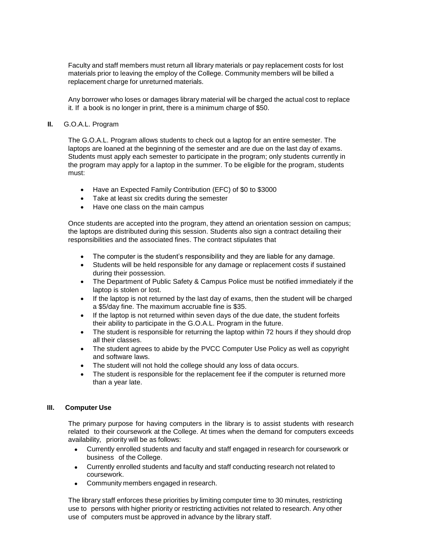Faculty and staff members must return all library materials or pay replacement costs for lost materials prior to leaving the employ of the College. Community members will be billed a replacement charge for unreturned materials.

Any borrower who loses or damages library material will be charged the actual cost to replace it. If a book is no longer in print, there is a minimum charge of \$50.

#### **II.** G.O.A.L. Program

The G.O.A.L. Program allows students to check out a laptop for an entire semester. The laptops are loaned at the beginning of the semester and are due on the last day of exams. Students must apply each semester to participate in the program; only students currently in the program may apply for a laptop in the summer. To be eligible for the program, students must:

- Have an Expected Family Contribution (EFC) of \$0 to \$3000
- Take at least six credits during the semester
- Have one class on the main campus

Once students are accepted into the program, they attend an orientation session on campus; the laptops are distributed during this session. Students also sign a contract detailing their responsibilities and the associated fines. The contract stipulates that

- The computer is the student's responsibility and they are liable for any damage.
- Students will be held responsible for any damage or replacement costs if sustained during their possession.
- The Department of Public Safety & Campus Police must be notified immediately if the laptop is stolen or lost.
- If the laptop is not returned by the last day of exams, then the student will be charged a \$5/day fine. The maximum accruable fine is \$35.
- If the laptop is not returned within seven days of the due date, the student forfeits their ability to participate in the G.O.A.L. Program in the future.
- The student is responsible for returning the laptop within 72 hours if they should drop all their classes.
- The student agrees to abide by the PVCC Computer Use Policy as well as copyright and software laws.
- The student will not hold the college should any loss of data occurs.
- The student is responsible for the replacement fee if the computer is returned more than a year late.

#### **III. Computer Use**

The primary purpose for having computers in the library is to assist students with research related to their coursework at the College. At times when the demand for computers exceeds availability, priority will be as follows:

- Currently enrolled students and faculty and staff engaged in research for coursework or business of the College.
- Currently enrolled students and faculty and staff conducting research not related to coursework.
- Community members engaged in research.

The library staff enforces these priorities by limiting computer time to 30 minutes, restricting use to persons with higher priority or restricting activities not related to research. Any other use of computers must be approved in advance by the library staff.